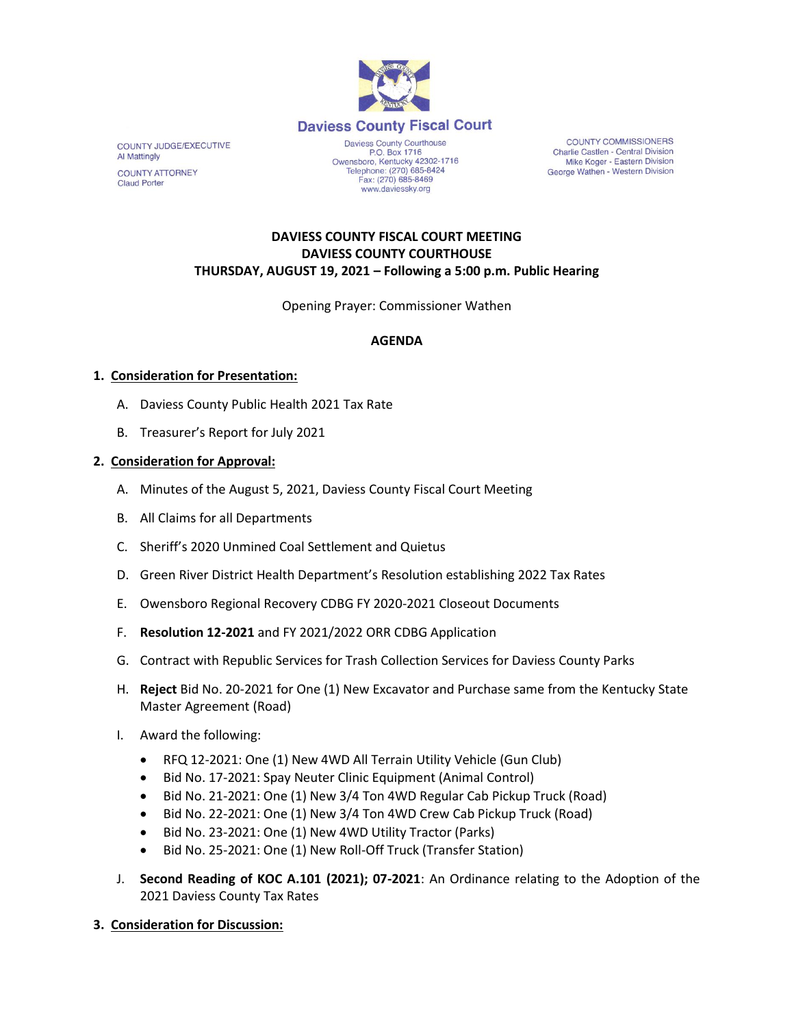

COUNTY JUDGE/EXECUTIVE Al Mattingly **COUNTY ATTORNEY Claud Porter** 

Daviess County Courthouse P.O. Box 1716<br>Owensboro, Kentucky 42302-1716<br>Telephone: (270) 685-8424 Fax: (270) 685-8469 www.daviessky.org

**COUNTY COMMISSIONERS** Charlie Castlen - Central Division Mike Koger - Eastern Division George Wathen - Western Division

## **DAVIESS COUNTY FISCAL COURT MEETING DAVIESS COUNTY COURTHOUSE THURSDAY, AUGUST 19, 2021 – Following a 5:00 p.m. Public Hearing**

Opening Prayer: Commissioner Wathen

## **AGENDA**

## **1. Consideration for Presentation:**

- A. Daviess County Public Health 2021 Tax Rate
- B. Treasurer's Report for July 2021

## **2. Consideration for Approval:**

- A. Minutes of the August 5, 2021, Daviess County Fiscal Court Meeting
- B. All Claims for all Departments
- C. Sheriff's 2020 Unmined Coal Settlement and Quietus
- D. Green River District Health Department's Resolution establishing 2022 Tax Rates
- E. Owensboro Regional Recovery CDBG FY 2020-2021 Closeout Documents
- F. **Resolution 12-2021** and FY 2021/2022 ORR CDBG Application
- G. Contract with Republic Services for Trash Collection Services for Daviess County Parks
- H. **Reject** Bid No. 20-2021 for One (1) New Excavator and Purchase same from the Kentucky State Master Agreement (Road)
- I. Award the following:
	- RFQ 12-2021: One (1) New 4WD All Terrain Utility Vehicle (Gun Club)
	- Bid No. 17-2021: Spay Neuter Clinic Equipment (Animal Control)
	- Bid No. 21-2021: One (1) New 3/4 Ton 4WD Regular Cab Pickup Truck (Road)
	- Bid No. 22-2021: One (1) New 3/4 Ton 4WD Crew Cab Pickup Truck (Road)
	- Bid No. 23-2021: One (1) New 4WD Utility Tractor (Parks)
	- Bid No. 25-2021: One (1) New Roll-Off Truck (Transfer Station)
- J. **Second Reading of KOC A.101 (2021); 07-2021**: An Ordinance relating to the Adoption of the 2021 Daviess County Tax Rates
- **3. Consideration for Discussion:**